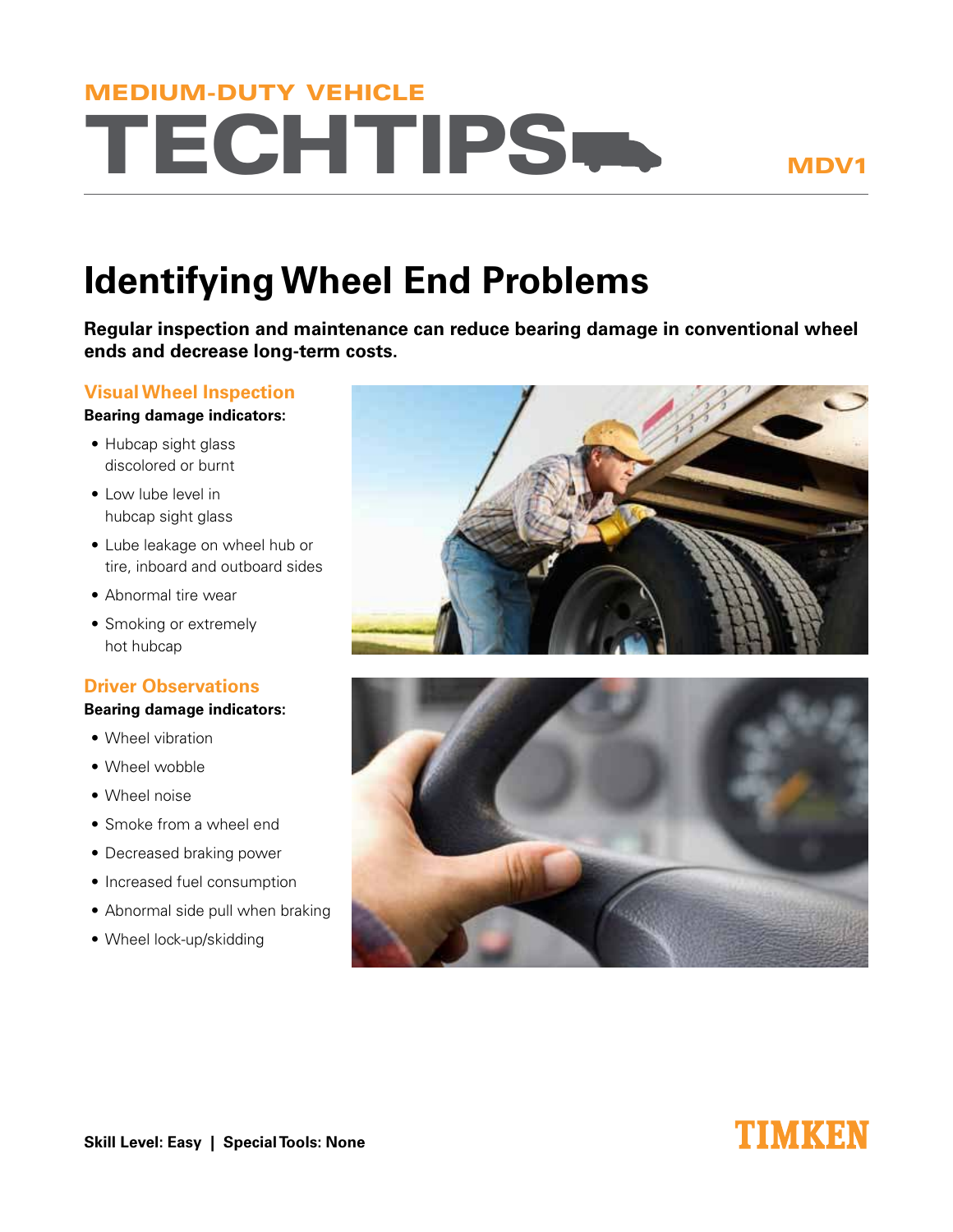# **TECHTIPS-**MEDIUM-DUTY VEHICLE

MDV1

## **Identifying Wheel End Problems**

**Regular inspection and maintenance can reduce bearing damage in conventional wheel ends and decrease long-term costs.**

#### **Visual Wheel Inspection**

#### **Bearing damage indicators:**

- Hubcap sight glass discolored or burnt
- Low lube level in hubcap sight glass
- Lube leakage on wheel hub or tire, inboard and outboard sides
- Abnormal tire wear
- Smoking or extremely hot hubcap

#### **Driver Observations**

#### **Bearing damage indicators:**

- Wheel vibration
- Wheel wobble
- Wheel noise
- Smoke from a wheel end
- Decreased braking power
- Increased fuel consumption
- Abnormal side pull when braking
- Wheel lock-up/skidding





### TIMKEN